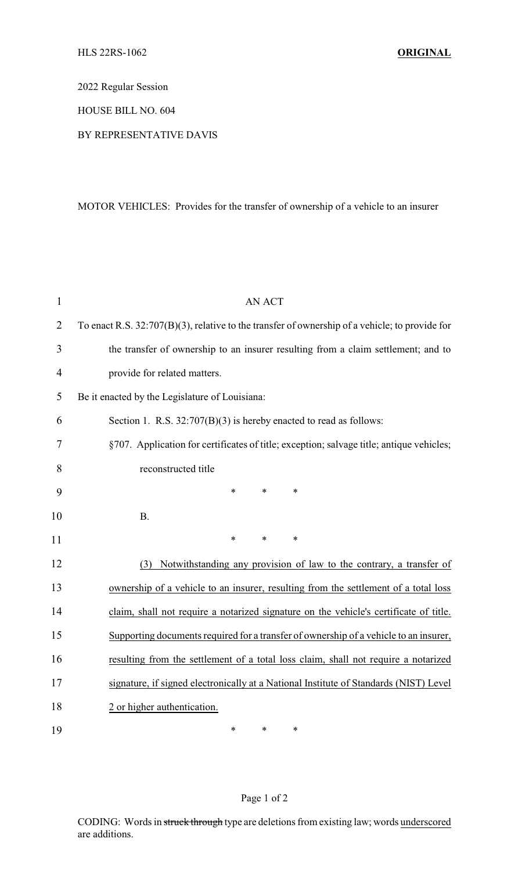2022 Regular Session

HOUSE BILL NO. 604

BY REPRESENTATIVE DAVIS

MOTOR VEHICLES: Provides for the transfer of ownership of a vehicle to an insurer

| $\mathbf{1}$   | <b>AN ACT</b>                                                                                     |  |
|----------------|---------------------------------------------------------------------------------------------------|--|
| $\overline{2}$ | To enact R.S. $32:707(B)(3)$ , relative to the transfer of ownership of a vehicle; to provide for |  |
| 3              | the transfer of ownership to an insurer resulting from a claim settlement; and to                 |  |
| $\overline{4}$ | provide for related matters.                                                                      |  |
| 5              | Be it enacted by the Legislature of Louisiana:                                                    |  |
| 6              | Section 1. R.S. $32:707(B)(3)$ is hereby enacted to read as follows:                              |  |
| 7              | §707. Application for certificates of title; exception; salvage title; antique vehicles;          |  |
| 8              | reconstructed title                                                                               |  |
| 9              | $\ast$<br>$\ast$<br>$\ast$                                                                        |  |
| 10             | <b>B.</b>                                                                                         |  |
| 11             | $\ast$<br>$\ast$<br>$\ast$                                                                        |  |
| 12             | Notwithstanding any provision of law to the contrary, a transfer of<br>(3)                        |  |
| 13             | ownership of a vehicle to an insurer, resulting from the settlement of a total loss               |  |
| 14             | claim, shall not require a notarized signature on the vehicle's certificate of title.             |  |
| 15             | Supporting documents required for a transfer of ownership of a vehicle to an insurer,             |  |
| 16             | resulting from the settlement of a total loss claim, shall not require a notarized                |  |
| 17             | signature, if signed electronically at a National Institute of Standards (NIST) Level             |  |
| 18             | 2 or higher authentication.                                                                       |  |
| 19             | *<br>$\ast$<br>*                                                                                  |  |

## Page 1 of 2

CODING: Words in struck through type are deletions from existing law; words underscored are additions.